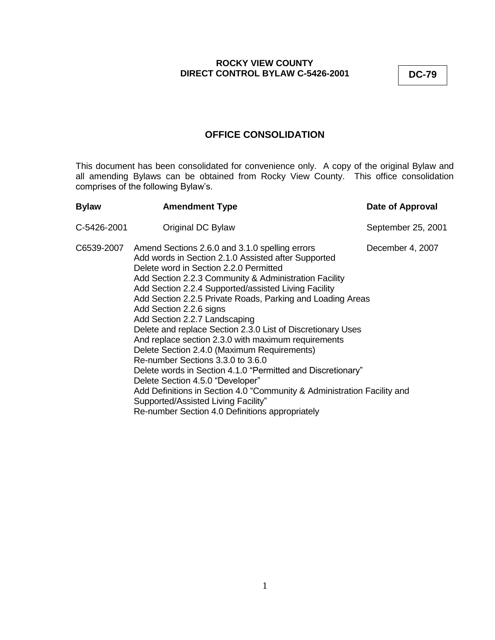# **OFFICE CONSOLIDATION**

This document has been consolidated for convenience only. A copy of the original Bylaw and all amending Bylaws can be obtained from Rocky View County. This office consolidation comprises of the following Bylaw's.

| <b>Bylaw</b> | <b>Amendment Type</b>                                                                                                                                                                                                                                                                                                                                                                                                                                                                                                                                                                                                                                                                                                                                                                                                                                                                   | Date of Approval   |
|--------------|-----------------------------------------------------------------------------------------------------------------------------------------------------------------------------------------------------------------------------------------------------------------------------------------------------------------------------------------------------------------------------------------------------------------------------------------------------------------------------------------------------------------------------------------------------------------------------------------------------------------------------------------------------------------------------------------------------------------------------------------------------------------------------------------------------------------------------------------------------------------------------------------|--------------------|
| C-5426-2001  | Original DC Bylaw                                                                                                                                                                                                                                                                                                                                                                                                                                                                                                                                                                                                                                                                                                                                                                                                                                                                       | September 25, 2001 |
|              | C6539-2007 Amend Sections 2.6.0 and 3.1.0 spelling errors<br>Add words in Section 2.1.0 Assisted after Supported<br>Delete word in Section 2.2.0 Permitted<br>Add Section 2.2.3 Community & Administration Facility<br>Add Section 2.2.4 Supported/assisted Living Facility<br>Add Section 2.2.5 Private Roads, Parking and Loading Areas<br>Add Section 2.2.6 signs<br>Add Section 2.2.7 Landscaping<br>Delete and replace Section 2.3.0 List of Discretionary Uses<br>And replace section 2.3.0 with maximum requirements<br>Delete Section 2.4.0 (Maximum Requirements)<br>Re-number Sections 3.3.0 to 3.6.0<br>Delete words in Section 4.1.0 "Permitted and Discretionary"<br>Delete Section 4.5.0 "Developer"<br>Add Definitions in Section 4.0 "Community & Administration Facility and<br>Supported/Assisted Living Facility"<br>Re-number Section 4.0 Definitions appropriately | December 4, 2007   |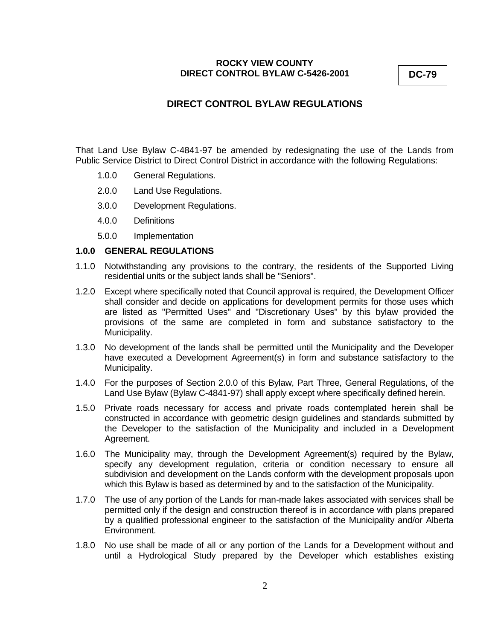# **DIRECT CONTROL BYLAW REGULATIONS**

That Land Use Bylaw C-4841-97 be amended by redesignating the use of the Lands from Public Service District to Direct Control District in accordance with the following Regulations:

- 1.0.0 General Regulations.
- 2.0.0 Land Use Regulations.
- 3.0.0 Development Regulations.
- 4.0.0 Definitions
- 5.0.0 Implementation

### **1.0.0 GENERAL REGULATIONS**

- 1.1.0 Notwithstanding any provisions to the contrary, the residents of the Supported Living residential units or the subject lands shall be "Seniors".
- 1.2.0 Except where specifically noted that Council approval is required, the Development Officer shall consider and decide on applications for development permits for those uses which are listed as "Permitted Uses" and "Discretionary Uses" by this bylaw provided the provisions of the same are completed in form and substance satisfactory to the Municipality.
- 1.3.0 No development of the lands shall be permitted until the Municipality and the Developer have executed a Development Agreement(s) in form and substance satisfactory to the Municipality.
- 1.4.0 For the purposes of Section 2.0.0 of this Bylaw, Part Three, General Regulations, of the Land Use Bylaw (Bylaw C-4841-97) shall apply except where specifically defined herein.
- 1.5.0 Private roads necessary for access and private roads contemplated herein shall be constructed in accordance with geometric design guidelines and standards submitted by the Developer to the satisfaction of the Municipality and included in a Development Agreement.
- 1.6.0 The Municipality may, through the Development Agreement(s) required by the Bylaw, specify any development regulation, criteria or condition necessary to ensure all subdivision and development on the Lands conform with the development proposals upon which this Bylaw is based as determined by and to the satisfaction of the Municipality.
- 1.7.0 The use of any portion of the Lands for man-made lakes associated with services shall be permitted only if the design and construction thereof is in accordance with plans prepared by a qualified professional engineer to the satisfaction of the Municipality and/or Alberta Environment.
- 1.8.0 No use shall be made of all or any portion of the Lands for a Development without and until a Hydrological Study prepared by the Developer which establishes existing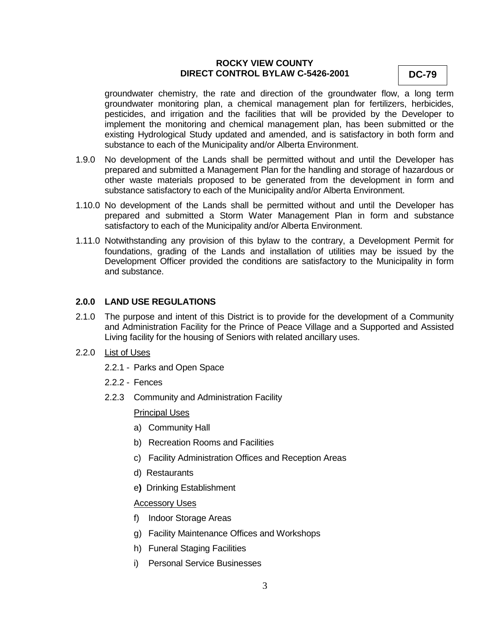groundwater chemistry, the rate and direction of the groundwater flow, a long term groundwater monitoring plan, a chemical management plan for fertilizers, herbicides, pesticides, and irrigation and the facilities that will be provided by the Developer to implement the monitoring and chemical management plan, has been submitted or the existing Hydrological Study updated and amended, and is satisfactory in both form and substance to each of the Municipality and/or Alberta Environment.

- 1.9.0 No development of the Lands shall be permitted without and until the Developer has prepared and submitted a Management Plan for the handling and storage of hazardous or other waste materials proposed to be generated from the development in form and substance satisfactory to each of the Municipality and/or Alberta Environment.
- 1.10.0 No development of the Lands shall be permitted without and until the Developer has prepared and submitted a Storm Water Management Plan in form and substance satisfactory to each of the Municipality and/or Alberta Environment.
- 1.11.0 Notwithstanding any provision of this bylaw to the contrary, a Development Permit for foundations, grading of the Lands and installation of utilities may be issued by the Development Officer provided the conditions are satisfactory to the Municipality in form and substance.

### **2.0.0 LAND USE REGULATIONS**

- 2.1.0 The purpose and intent of this District is to provide for the development of a Community and Administration Facility for the Prince of Peace Village and a Supported and Assisted Living facility for the housing of Seniors with related ancillary uses.
- 2.2.0 List of Uses
	- 2.2.1 Parks and Open Space
	- 2.2.2 Fences
	- 2.2.3 Community and Administration Facility

Principal Uses

- a) Community Hall
- b) Recreation Rooms and Facilities
- c) Facility Administration Offices and Reception Areas
- d) Restaurants
- e**)** Drinking Establishment

#### Accessory Uses

- f) Indoor Storage Areas
- g) Facility Maintenance Offices and Workshops
- h) Funeral Staging Facilities
- i) Personal Service Businesses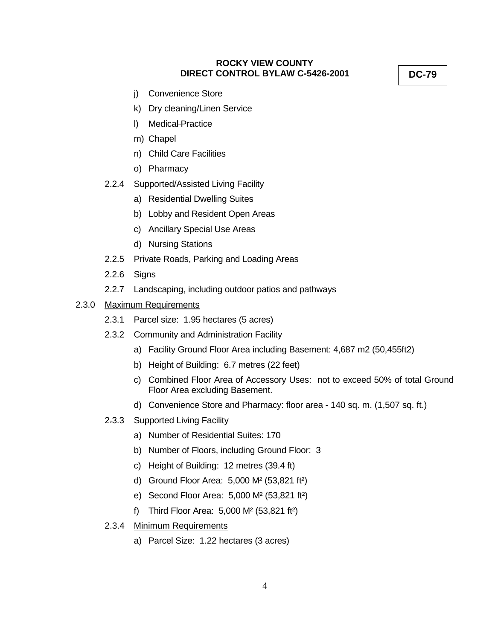j) Convenience Store

- k) Dry cleaning/Linen Service
- l) Medical Practice
- m) Chapel
- n) Child Care Facilities
- o) Pharmacy
- 2.2.4 Supported/Assisted Living Facility
	- a) Residential Dwelling Suites
	- b) Lobby and Resident Open Areas
	- c) Ancillary Special Use Areas
	- d) Nursing Stations
- 2.2.5 Private Roads, Parking and Loading Areas
- 2.2.6 Signs
- 2.2.7 Landscaping, including outdoor patios and pathways
- 2.3.0 Maximum Requirements
	- 2.3.1 Parcel size: 1.95 hectares (5 acres)
	- 2.3.2 Community and Administration Facility
		- a) Facility Ground Floor Area including Basement: 4,687 m2 (50,455ft2)
		- b) Height of Building: 6.7 metres (22 feet)
		- c) Combined Floor Area of Accessory Uses: not to exceed 50% of total Ground Floor Area excluding Basement.
		- d) Convenience Store and Pharmacy: floor area 140 sq. m. (1,507 sq. ft.)
	- 2.3.3 Supported Living Facility
		- a) Number of Residential Suites: 170
		- b) Number of Floors, including Ground Floor: 3
		- c) Height of Building: 12 metres (39.4 ft)
		- d) Ground Floor Area: 5,000 M² (53,821 ft²)
		- e) Second Floor Area: 5,000 M² (53,821 ft²)
		- f) Third Floor Area: 5,000 M² (53,821 ft²)
	- 2.3.4 Minimum Requirements
		- a) Parcel Size: 1.22 hectares (3 acres)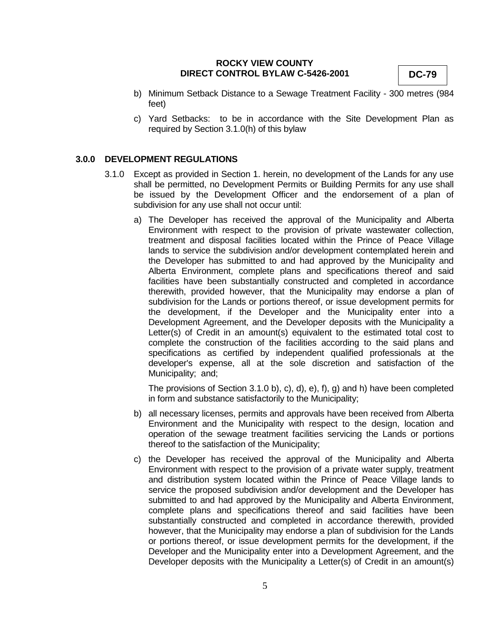- b) Minimum Setback Distance to a Sewage Treatment Facility 300 metres (984 feet)
- c) Yard Setbacks: to be in accordance with the Site Development Plan as required by Section 3.1.0(h) of this bylaw

#### **3.0.0 DEVELOPMENT REGULATIONS**

- 3.1.0 Except as provided in Section 1. herein, no development of the Lands for any use shall be permitted, no Development Permits or Building Permits for any use shall be issued by the Development Officer and the endorsement of a plan of subdivision for any use shall not occur until:
	- a) The Developer has received the approval of the Municipality and Alberta Environment with respect to the provision of private wastewater collection, treatment and disposal facilities located within the Prince of Peace Village lands to service the subdivision and/or development contemplated herein and the Developer has submitted to and had approved by the Municipality and Alberta Environment, complete plans and specifications thereof and said facilities have been substantially constructed and completed in accordance therewith, provided however, that the Municipality may endorse a plan of subdivision for the Lands or portions thereof, or issue development permits for the development, if the Developer and the Municipality enter into a Development Agreement, and the Developer deposits with the Municipality a Letter(s) of Credit in an amount(s) equivalent to the estimated total cost to complete the construction of the facilities according to the said plans and specifications as certified by independent qualified professionals at the developer's expense, all at the sole discretion and satisfaction of the Municipality; and;

The provisions of Section 3.1.0 b), c), d), e), f), g) and h) have been completed in form and substance satisfactorily to the Municipality;

- b) all necessary licenses, permits and approvals have been received from Alberta Environment and the Municipality with respect to the design, location and operation of the sewage treatment facilities servicing the Lands or portions thereof to the satisfaction of the Municipality;
- c) the Developer has received the approval of the Municipality and Alberta Environment with respect to the provision of a private water supply, treatment and distribution system located within the Prince of Peace Village lands to service the proposed subdivision and/or development and the Developer has submitted to and had approved by the Municipality and Alberta Environment, complete plans and specifications thereof and said facilities have been substantially constructed and completed in accordance therewith, provided however, that the Municipality may endorse a plan of subdivision for the Lands or portions thereof, or issue development permits for the development, if the Developer and the Municipality enter into a Development Agreement, and the Developer deposits with the Municipality a Letter(s) of Credit in an amount(s)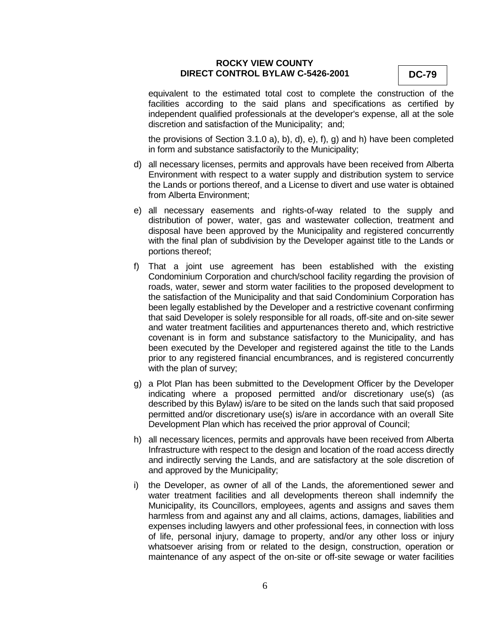equivalent to the estimated total cost to complete the construction of the facilities according to the said plans and specifications as certified by independent qualified professionals at the developer's expense, all at the sole discretion and satisfaction of the Municipality; and;

the provisions of Section 3.1.0 a), b), d), e), f), g) and h) have been completed in form and substance satisfactorily to the Municipality;

- d) all necessary licenses, permits and approvals have been received from Alberta Environment with respect to a water supply and distribution system to service the Lands or portions thereof, and a License to divert and use water is obtained from Alberta Environment;
- e) all necessary easements and rights-of-way related to the supply and distribution of power, water, gas and wastewater collection, treatment and disposal have been approved by the Municipality and registered concurrently with the final plan of subdivision by the Developer against title to the Lands or portions thereof;
- f) That a joint use agreement has been established with the existing Condominium Corporation and church/school facility regarding the provision of roads, water, sewer and storm water facilities to the proposed development to the satisfaction of the Municipality and that said Condominium Corporation has been legally established by the Developer and a restrictive covenant confirming that said Developer is solely responsible for all roads, off-site and on-site sewer and water treatment facilities and appurtenances thereto and, which restrictive covenant is in form and substance satisfactory to the Municipality, and has been executed by the Developer and registered against the title to the Lands prior to any registered financial encumbrances, and is registered concurrently with the plan of survey;
- g) a Plot Plan has been submitted to the Development Officer by the Developer indicating where a proposed permitted and/or discretionary use(s) (as described by this Bylaw) is/are to be sited on the lands such that said proposed permitted and/or discretionary use(s) is/are in accordance with an overall Site Development Plan which has received the prior approval of Council;
- h) all necessary licences, permits and approvals have been received from Alberta Infrastructure with respect to the design and location of the road access directly and indirectly serving the Lands, and are satisfactory at the sole discretion of and approved by the Municipality;
- i) the Developer, as owner of all of the Lands, the aforementioned sewer and water treatment facilities and all developments thereon shall indemnify the Municipality, its Councillors, employees, agents and assigns and saves them harmless from and against any and all claims, actions, damages, liabilities and expenses including lawyers and other professional fees, in connection with loss of life, personal injury, damage to property, and/or any other loss or injury whatsoever arising from or related to the design, construction, operation or maintenance of any aspect of the on-site or off-site sewage or water facilities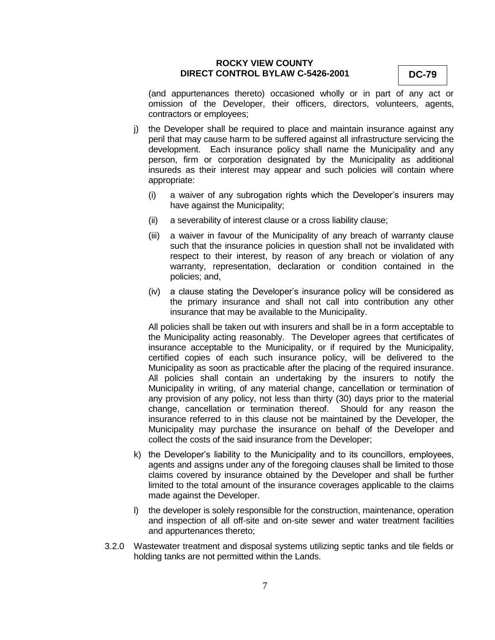(and appurtenances thereto) occasioned wholly or in part of any act or omission of the Developer, their officers, directors, volunteers, agents, contractors or employees;

- j) the Developer shall be required to place and maintain insurance against any peril that may cause harm to be suffered against all infrastructure servicing the development. Each insurance policy shall name the Municipality and any person, firm or corporation designated by the Municipality as additional insureds as their interest may appear and such policies will contain where appropriate:
	- (i) a waiver of any subrogation rights which the Developer's insurers may have against the Municipality;
	- (ii) a severability of interest clause or a cross liability clause;
	- (iii) a waiver in favour of the Municipality of any breach of warranty clause such that the insurance policies in question shall not be invalidated with respect to their interest, by reason of any breach or violation of any warranty, representation, declaration or condition contained in the policies; and,
	- (iv) a clause stating the Developer's insurance policy will be considered as the primary insurance and shall not call into contribution any other insurance that may be available to the Municipality.

All policies shall be taken out with insurers and shall be in a form acceptable to the Municipality acting reasonably. The Developer agrees that certificates of insurance acceptable to the Municipality, or if required by the Municipality, certified copies of each such insurance policy, will be delivered to the Municipality as soon as practicable after the placing of the required insurance. All policies shall contain an undertaking by the insurers to notify the Municipality in writing, of any material change, cancellation or termination of any provision of any policy, not less than thirty (30) days prior to the material change, cancellation or termination thereof. Should for any reason the insurance referred to in this clause not be maintained by the Developer, the Municipality may purchase the insurance on behalf of the Developer and collect the costs of the said insurance from the Developer;

- k) the Developer's liability to the Municipality and to its councillors, employees, agents and assigns under any of the foregoing clauses shall be limited to those claims covered by insurance obtained by the Developer and shall be further limited to the total amount of the insurance coverages applicable to the claims made against the Developer.
- l) the developer is solely responsible for the construction, maintenance, operation and inspection of all off-site and on-site sewer and water treatment facilities and appurtenances thereto;
- 3.2.0 Wastewater treatment and disposal systems utilizing septic tanks and tile fields or holding tanks are not permitted within the Lands.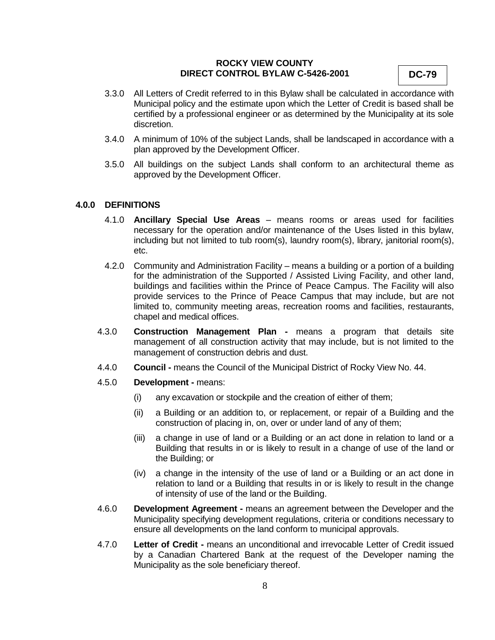- 3.3.0 All Letters of Credit referred to in this Bylaw shall be calculated in accordance with Municipal policy and the estimate upon which the Letter of Credit is based shall be certified by a professional engineer or as determined by the Municipality at its sole discretion.
- 3.4.0 A minimum of 10% of the subject Lands, shall be landscaped in accordance with a plan approved by the Development Officer.
- 3.5.0 All buildings on the subject Lands shall conform to an architectural theme as approved by the Development Officer.

### **4.0.0 DEFINITIONS**

- 4.1.0 **Ancillary Special Use Areas** means rooms or areas used for facilities necessary for the operation and/or maintenance of the Uses listed in this bylaw, including but not limited to tub room(s), laundry room(s), library, janitorial room(s), etc.
- 4.2.0 Community and Administration Facility means a building or a portion of a building for the administration of the Supported / Assisted Living Facility, and other land, buildings and facilities within the Prince of Peace Campus. The Facility will also provide services to the Prince of Peace Campus that may include, but are not limited to, community meeting areas, recreation rooms and facilities, restaurants, chapel and medical offices.
- 4.3.0 **Construction Management Plan -** means a program that details site management of all construction activity that may include, but is not limited to the management of construction debris and dust.
- 4.4.0 **Council -** means the Council of the Municipal District of Rocky View No. 44.
- 4.5.0 **Development -** means:
	- (i) any excavation or stockpile and the creation of either of them;
	- (ii) a Building or an addition to, or replacement, or repair of a Building and the construction of placing in, on, over or under land of any of them;
	- (iii) a change in use of land or a Building or an act done in relation to land or a Building that results in or is likely to result in a change of use of the land or the Building; or
	- (iv) a change in the intensity of the use of land or a Building or an act done in relation to land or a Building that results in or is likely to result in the change of intensity of use of the land or the Building.
- 4.6.0 **Development Agreement -** means an agreement between the Developer and the Municipality specifying development regulations, criteria or conditions necessary to ensure all developments on the land conform to municipal approvals.
- 4.7.0 **Letter of Credit -** means an unconditional and irrevocable Letter of Credit issued by a Canadian Chartered Bank at the request of the Developer naming the Municipality as the sole beneficiary thereof.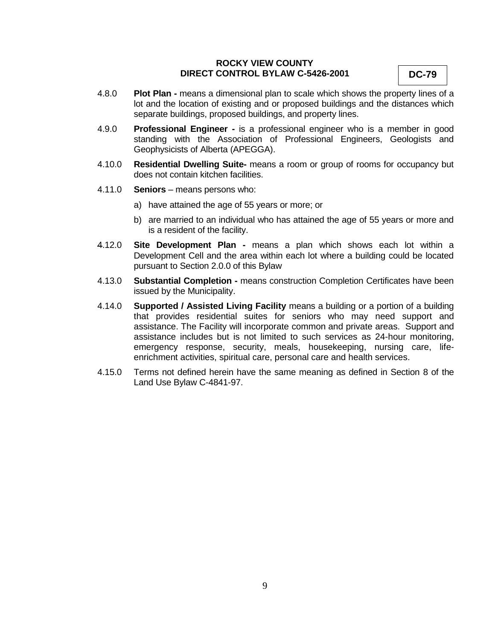- 4.8.0 **Plot Plan -** means a dimensional plan to scale which shows the property lines of a lot and the location of existing and or proposed buildings and the distances which separate buildings, proposed buildings, and property lines.
- 4.9.0 **Professional Engineer -** is a professional engineer who is a member in good standing with the Association of Professional Engineers, Geologists and Geophysicists of Alberta (APEGGA).
- 4.10.0 **Residential Dwelling Suite-** means a room or group of rooms for occupancy but does not contain kitchen facilities.
- 4.11.0 **Seniors** means persons who:
	- a) have attained the age of 55 years or more; or
	- b) are married to an individual who has attained the age of 55 years or more and is a resident of the facility.
- 4.12.0 **Site Development Plan -** means a plan which shows each lot within a Development Cell and the area within each lot where a building could be located pursuant to Section 2.0.0 of this Bylaw
- 4.13.0 **Substantial Completion -** means construction Completion Certificates have been issued by the Municipality.
- 4.14.0 **Supported / Assisted Living Facility** means a building or a portion of a building that provides residential suites for seniors who may need support and assistance. The Facility will incorporate common and private areas. Support and assistance includes but is not limited to such services as 24-hour monitoring, emergency response, security, meals, housekeeping, nursing care, lifeenrichment activities, spiritual care, personal care and health services.
- 4.15.0 Terms not defined herein have the same meaning as defined in Section 8 of the Land Use Bylaw C-4841-97.